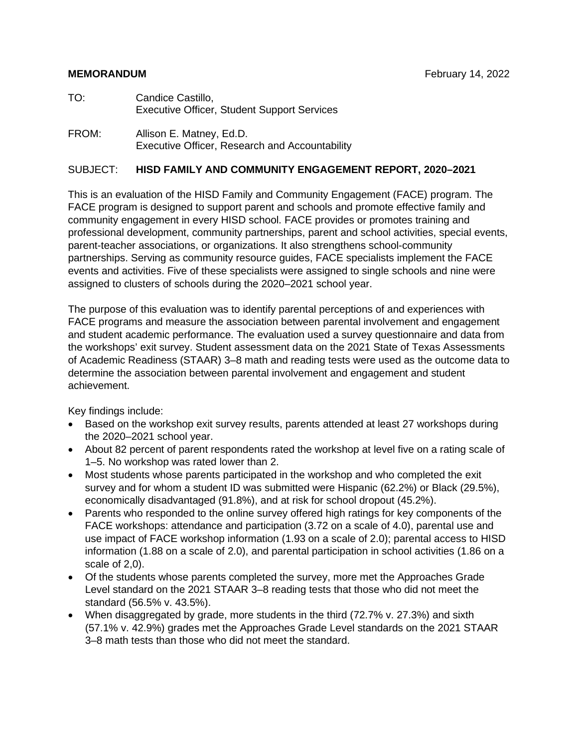#### **MEMORANDUM Example 2022 February 14, 2022**

- TO: Candice Castillo, Executive Officer, Student Support Services
- FROM: Allison E. Matney, Ed.D. Executive Officer, Research and Accountability

#### SUBJECT: **HISD FAMILY AND COMMUNITY ENGAGEMENT REPORT, 2020–2021**

This is an evaluation of the HISD Family and Community Engagement (FACE) program. The FACE program is designed to support parent and schools and promote effective family and community engagement in every HISD school. FACE provides or promotes training and professional development, community partnerships, parent and school activities, special events, parent-teacher associations, or organizations. It also strengthens school-community partnerships. Serving as community resource guides, FACE specialists implement the FACE events and activities. Five of these specialists were assigned to single schools and nine were assigned to clusters of schools during the 2020–2021 school year.

The purpose of this evaluation was to identify parental perceptions of and experiences with FACE programs and measure the association between parental involvement and engagement and student academic performance. The evaluation used a survey questionnaire and data from the workshops' exit survey. Student assessment data on the 2021 State of Texas Assessments of Academic Readiness (STAAR) 3–8 math and reading tests were used as the outcome data to determine the association between parental involvement and engagement and student achievement.

Key findings include:

- Based on the workshop exit survey results, parents attended at least 27 workshops during the 2020–2021 school year.
- About 82 percent of parent respondents rated the workshop at level five on a rating scale of 1–5. No workshop was rated lower than 2.
- Most students whose parents participated in the workshop and who completed the exit survey and for whom a student ID was submitted were Hispanic (62.2%) or Black (29.5%), economically disadvantaged (91.8%), and at risk for school dropout (45.2%).
- Parents who responded to the online survey offered high ratings for key components of the FACE workshops: attendance and participation (3.72 on a scale of 4.0), parental use and use impact of FACE workshop information (1.93 on a scale of 2.0); parental access to HISD information (1.88 on a scale of 2.0), and parental participation in school activities (1.86 on a scale of 2,0).
- Of the students whose parents completed the survey, more met the Approaches Grade Level standard on the 2021 STAAR 3–8 reading tests that those who did not meet the standard (56.5% v. 43.5%).
- When disaggregated by grade, more students in the third (72.7% v. 27.3%) and sixth (57.1% v. 42.9%) grades met the Approaches Grade Level standards on the 2021 STAAR 3–8 math tests than those who did not meet the standard.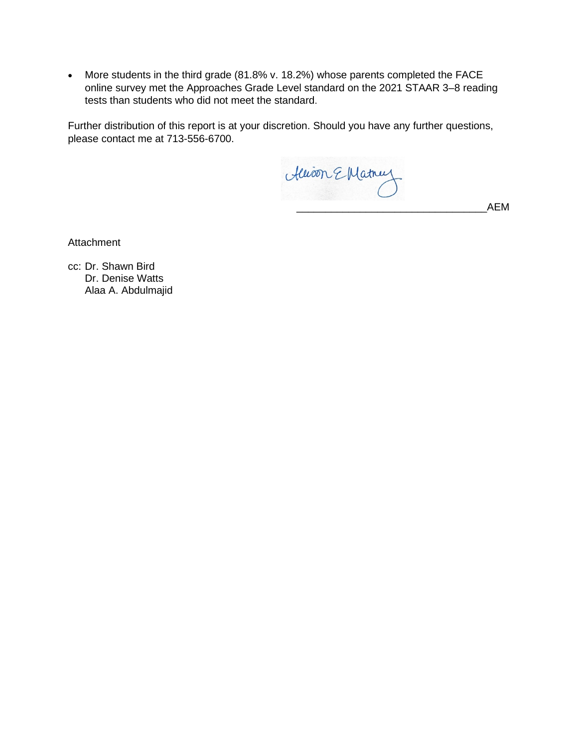• More students in the third grade (81.8% v. 18.2%) whose parents completed the FACE online survey met the Approaches Grade Level standard on the 2021 STAAR 3–8 reading tests than students who did not meet the standard.

Further distribution of this report is at your discretion. Should you have any further questions, please contact me at 713-556-6700.

Alison E Matnuz

\_\_\_\_\_\_\_\_\_\_\_\_\_\_\_\_\_\_\_\_\_\_\_\_\_\_\_\_\_\_\_\_\_AEM

Attachment

cc: Dr. Shawn Bird Dr. Denise Watts Alaa A. Abdulmajid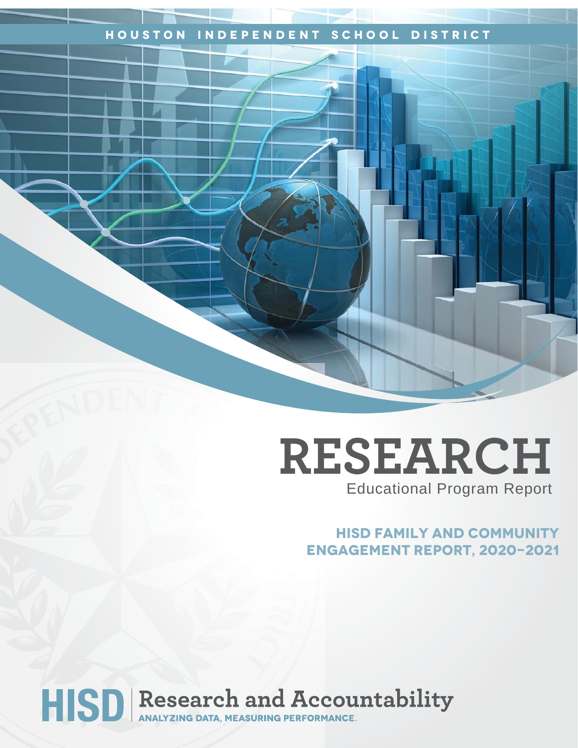### **Houston Independent School District**

## **RESEARCH** Educational Program Report

**HISD Family and Community Engagement ReporT, 2020-2021**

# HISD Research and Accountability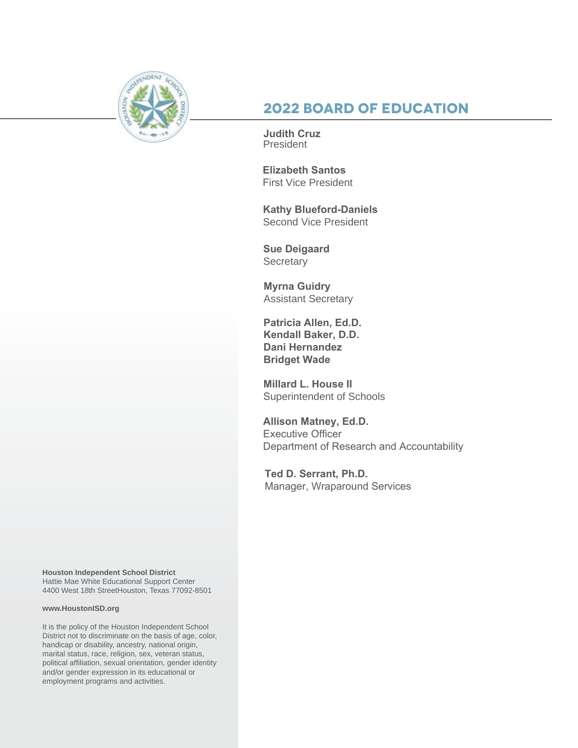

## **2022 Board of Education**

**Judith Cruz** President

**Elizabeth Santos**  First Vice President

**Kathy Blueford-Daniels**  Second Vice President

**Sue Deigaard Secretary** 

**Myrna Guidry** Assistant Secretary

**Patricia Allen, Ed.D. Kendall Baker, D.D. Dani Hernandez Bridget Wade**

**Millard L. House II** Superintendent of Schools

**Allison Matney, Ed.D.** Executive Officer Department of Research and Accountability

**Ted D. Serrant, Ph.D.** Manager, Wraparound Services

**Houston Independent School District** Hattie Mae White Educational Support Center 4400 West 18th StreetHouston, Texas 77092-8501

#### **www.HoustonISD.org**

It is the policy of the Houston Independent School District not to discriminate on the basis of age, color, handicap or disability, ancestry, national origin, marital status, race, religion, sex, veteran status, political affiliation, sexual orientation, gender identity and/or gender expression in its educational or employment programs and activities.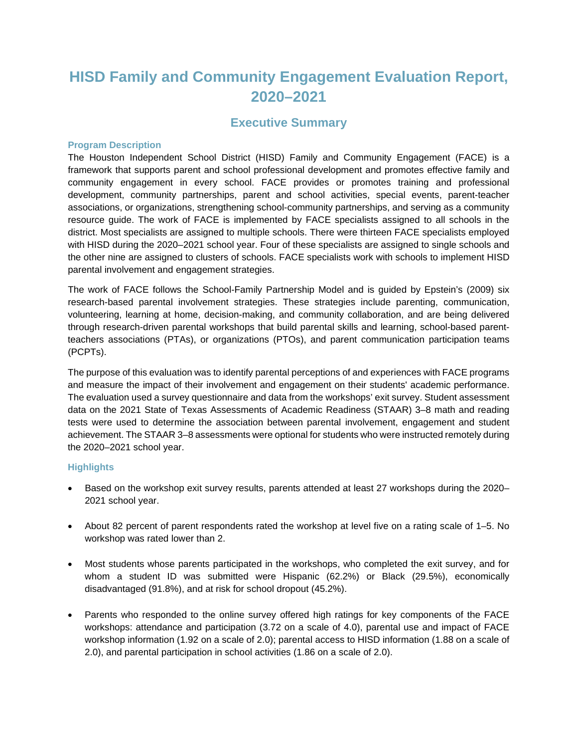## **HISD Family and Community Engagement Evaluation Report, 2020–2021**

#### **Executive Summary**

#### **Program Description**

The Houston Independent School District (HISD) Family and Community Engagement (FACE) is a framework that supports parent and school professional development and promotes effective family and community engagement in every school. FACE provides or promotes training and professional development, community partnerships, parent and school activities, special events, parent-teacher associations, or organizations, strengthening school-community partnerships, and serving as a community resource guide. The work of FACE is implemented by FACE specialists assigned to all schools in the district. Most specialists are assigned to multiple schools. There were thirteen FACE specialists employed with HISD during the 2020–2021 school year. Four of these specialists are assigned to single schools and the other nine are assigned to clusters of schools. FACE specialists work with schools to implement HISD parental involvement and engagement strategies.

The work of FACE follows the School-Family Partnership Model and is guided by Epstein's (2009) six research-based parental involvement strategies. These strategies include parenting, communication, volunteering, learning at home, decision-making, and community collaboration, and are being delivered through research-driven parental workshops that build parental skills and learning, school-based parentteachers associations (PTAs), or organizations (PTOs), and parent communication participation teams (PCPTs).

The purpose of this evaluation was to identify parental perceptions of and experiences with FACE programs and measure the impact of their involvement and engagement on their students' academic performance. The evaluation used a survey questionnaire and data from the workshops' exit survey. Student assessment data on the 2021 State of Texas Assessments of Academic Readiness (STAAR) 3–8 math and reading tests were used to determine the association between parental involvement, engagement and student achievement. The STAAR 3–8 assessments were optional for students who were instructed remotely during the 2020–2021 school year.

#### **Highlights**

- Based on the workshop exit survey results, parents attended at least 27 workshops during the 2020– 2021 school year.
- About 82 percent of parent respondents rated the workshop at level five on a rating scale of 1–5. No workshop was rated lower than 2.
- Most students whose parents participated in the workshops, who completed the exit survey, and for whom a student ID was submitted were Hispanic (62.2%) or Black (29.5%), economically disadvantaged (91.8%), and at risk for school dropout (45.2%).
- Parents who responded to the online survey offered high ratings for key components of the FACE workshops: attendance and participation (3.72 on a scale of 4.0), parental use and impact of FACE workshop information (1.92 on a scale of 2.0); parental access to HISD information (1.88 on a scale of 2.0), and parental participation in school activities (1.86 on a scale of 2.0).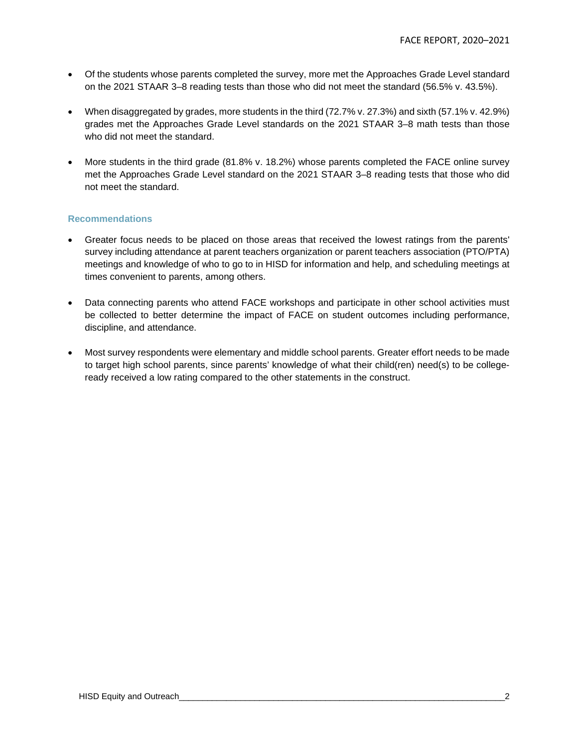- Of the students whose parents completed the survey, more met the Approaches Grade Level standard on the 2021 STAAR 3–8 reading tests than those who did not meet the standard (56.5% v. 43.5%).
- When disaggregated by grades, more students in the third (72.7% v. 27.3%) and sixth (57.1% v. 42.9%) grades met the Approaches Grade Level standards on the 2021 STAAR 3–8 math tests than those who did not meet the standard.
- More students in the third grade (81.8% v. 18.2%) whose parents completed the FACE online survey met the Approaches Grade Level standard on the 2021 STAAR 3–8 reading tests that those who did not meet the standard.

#### **Recommendations**

- Greater focus needs to be placed on those areas that received the lowest ratings from the parents' survey including attendance at parent teachers organization or parent teachers association (PTO/PTA) meetings and knowledge of who to go to in HISD for information and help, and scheduling meetings at times convenient to parents, among others.
- Data connecting parents who attend FACE workshops and participate in other school activities must be collected to better determine the impact of FACE on student outcomes including performance, discipline, and attendance.
- Most survey respondents were elementary and middle school parents. Greater effort needs to be made to target high school parents, since parents' knowledge of what their child(ren) need(s) to be collegeready received a low rating compared to the other statements in the construct.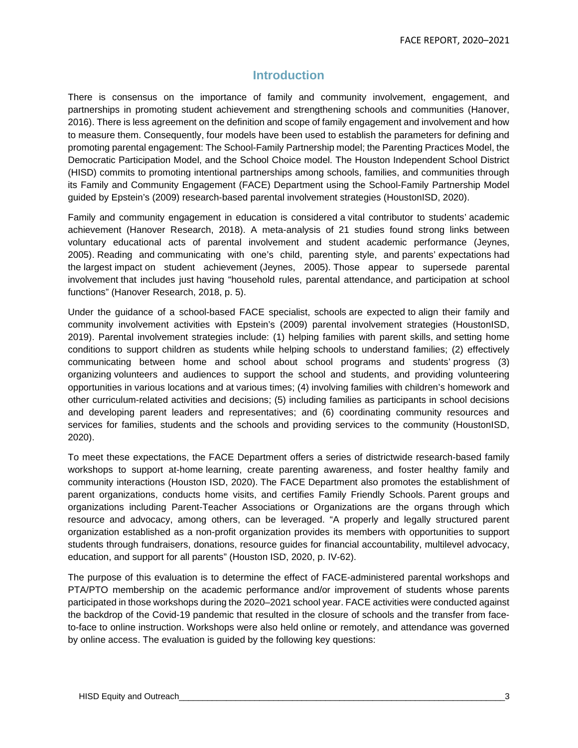### **Introduction**

There is consensus on the importance of family and community involvement, engagement, and partnerships in promoting student achievement and strengthening schools and communities (Hanover, 2016). There is less agreement on the definition and scope of family engagement and involvement and how to measure them. Consequently, four models have been used to establish the parameters for defining and promoting parental engagement: The School-Family Partnership model; the Parenting Practices Model, the Democratic Participation Model, and the School Choice model. The Houston Independent School District (HISD) commits to promoting intentional partnerships among schools, families, and communities through its Family and Community Engagement (FACE) Department using the School-Family Partnership Model guided by Epstein's (2009) research-based parental involvement strategies (HoustonISD, 2020).

Family and community engagement in education is considered a vital contributor to students' academic achievement (Hanover Research, 2018). A meta-analysis of 21 studies found strong links between voluntary educational acts of parental involvement and student academic performance (Jeynes, 2005). Reading and communicating with one's child, parenting style, and parents' expectations had the largest impact on student achievement (Jeynes, 2005). Those appear to supersede parental involvement that includes just having "household rules, parental attendance, and participation at school functions" (Hanover Research, 2018, p. 5).

Under the guidance of a school-based FACE specialist, schools are expected to align their family and community involvement activities with Epstein's (2009) parental involvement strategies (HoustonISD, 2019). Parental involvement strategies include: (1) helping families with parent skills, and setting home conditions to support children as students while helping schools to understand families; (2) effectively communicating between home and school about school programs and students' progress (3) organizing volunteers and audiences to support the school and students, and providing volunteering opportunities in various locations and at various times; (4) involving families with children's homework and other curriculum-related activities and decisions; (5) including families as participants in school decisions and developing parent leaders and representatives; and (6) coordinating community resources and services for families, students and the schools and providing services to the community (HoustonISD, 2020).

To meet these expectations, the FACE Department offers a series of districtwide research-based family workshops to support at-home learning, create parenting awareness, and foster healthy family and community interactions (Houston ISD, 2020). The FACE Department also promotes the establishment of parent organizations, conducts home visits, and certifies Family Friendly Schools. Parent groups and organizations including Parent-Teacher Associations or Organizations are the organs through which resource and advocacy, among others, can be leveraged. "A properly and legally structured parent organization established as a non-profit organization provides its members with opportunities to support students through fundraisers, donations, resource guides for financial accountability, multilevel advocacy, education, and support for all parents" (Houston ISD, 2020, p. IV-62).

The purpose of this evaluation is to determine the effect of FACE-administered parental workshops and PTA/PTO membership on the academic performance and/or improvement of students whose parents participated in those workshops during the 2020–2021 school year. FACE activities were conducted against the backdrop of the Covid-19 pandemic that resulted in the closure of schools and the transfer from faceto-face to online instruction. Workshops were also held online or remotely, and attendance was governed by online access. The evaluation is guided by the following key questions: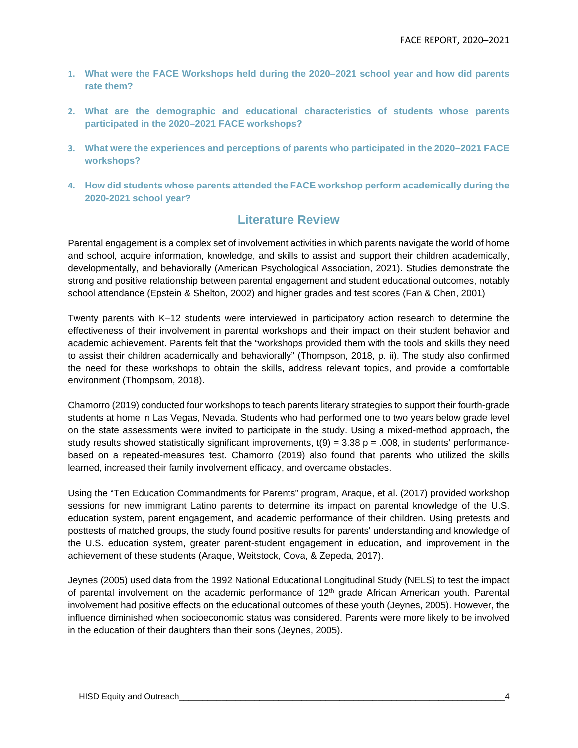- **1. What were the FACE Workshops held during the 2020–2021 school year and how did parents rate them?**
- **2. What are the demographic and educational characteristics of students whose parents participated in the 2020–2021 FACE workshops?**
- **3. What were the experiences and perceptions of parents who participated in the 2020–2021 FACE workshops?**
- **4. How did students whose parents attended the FACE workshop perform academically during the 2020-2021 school year?**

#### **Literature Review**

Parental engagement is a complex set of involvement activities in which parents navigate the world of home and school, acquire information, knowledge, and skills to assist and support their children academically, developmentally, and behaviorally (American Psychological Association, 2021). Studies demonstrate the strong and positive relationship between parental engagement and student educational outcomes, notably school attendance (Epstein & Shelton, 2002) and higher grades and test scores (Fan & Chen, 2001)

Twenty parents with K–12 students were interviewed in participatory action research to determine the effectiveness of their involvement in parental workshops and their impact on their student behavior and academic achievement. Parents felt that the "workshops provided them with the tools and skills they need to assist their children academically and behaviorally" (Thompson, 2018, p. ii). The study also confirmed the need for these workshops to obtain the skills, address relevant topics, and provide a comfortable environment (Thompsom, 2018).

Chamorro (2019) conducted four workshops to teach parents literary strategies to support their fourth-grade students at home in Las Vegas, Nevada. Students who had performed one to two years below grade level on the state assessments were invited to participate in the study. Using a mixed-method approach, the study results showed statistically significant improvements,  $t(9) = 3.38$  p = .008, in students' performancebased on a repeated-measures test. Chamorro (2019) also found that parents who utilized the skills learned, increased their family involvement efficacy, and overcame obstacles.

Using the "Ten Education Commandments for Parents" program, Araque, et al. (2017) provided workshop sessions for new immigrant Latino parents to determine its impact on parental knowledge of the U.S. education system, parent engagement, and academic performance of their children. Using pretests and posttests of matched groups, the study found positive results for parents' understanding and knowledge of the U.S. education system, greater parent-student engagement in education, and improvement in the achievement of these students (Araque, Weitstock, Cova, & Zepeda, 2017).

Jeynes (2005) used data from the 1992 National Educational Longitudinal Study (NELS) to test the impact of parental involvement on the academic performance of  $12<sup>th</sup>$  grade African American youth. Parental involvement had positive effects on the educational outcomes of these youth (Jeynes, 2005). However, the influence diminished when socioeconomic status was considered. Parents were more likely to be involved in the education of their daughters than their sons (Jeynes, 2005).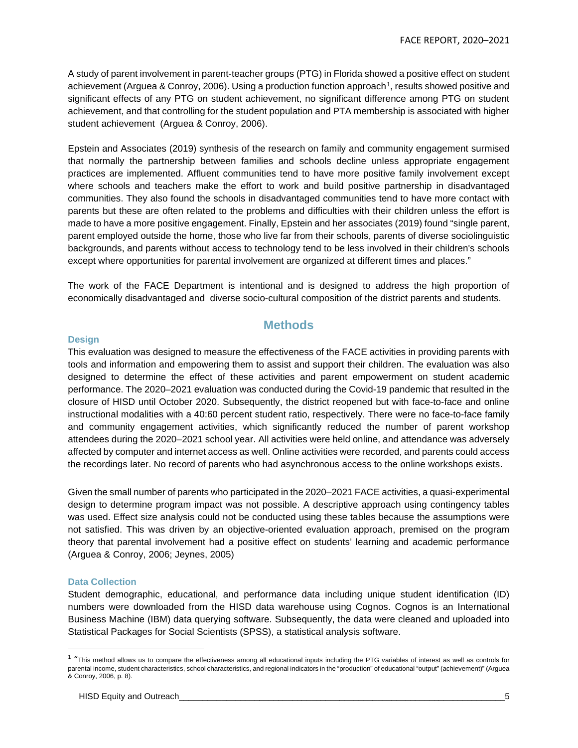A study of parent involvement in parent-teacher groups (PTG) in Florida showed a positive effect on student achievement (Arguea & Conroy, 2006). Using a production function approach<sup>1</sup>, results showed positive and significant effects of any PTG on student achievement, no significant difference among PTG on student achievement, and that controlling for the student population and PTA membership is associated with higher student achievement (Arguea & Conroy, 2006).

Epstein and Associates (2019) synthesis of the research on family and community engagement surmised that normally the partnership between families and schools decline unless appropriate engagement practices are implemented. Affluent communities tend to have more positive family involvement except where schools and teachers make the effort to work and build positive partnership in disadvantaged communities. They also found the schools in disadvantaged communities tend to have more contact with parents but these are often related to the problems and difficulties with their children unless the effort is made to have a more positive engagement. Finally, Epstein and her associates (2019) found "single parent, parent employed outside the home, those who live far from their schools, parents of diverse sociolinguistic backgrounds, and parents without access to technology tend to be less involved in their children's schools except where opportunities for parental involvement are organized at different times and places."

The work of the FACE Department is intentional and is designed to address the high proportion of economically disadvantaged and diverse socio-cultural composition of the district parents and students.

#### **Methods**

#### **Design**

This evaluation was designed to measure the effectiveness of the FACE activities in providing parents with tools and information and empowering them to assist and support their children. The evaluation was also designed to determine the effect of these activities and parent empowerment on student academic performance. The 2020–2021 evaluation was conducted during the Covid-19 pandemic that resulted in the closure of HISD until October 2020. Subsequently, the district reopened but with face-to-face and online instructional modalities with a 40:60 percent student ratio, respectively. There were no face-to-face family and community engagement activities, which significantly reduced the number of parent workshop attendees during the 2020–2021 school year. All activities were held online, and attendance was adversely affected by computer and internet access as well. Online activities were recorded, and parents could access the recordings later. No record of parents who had asynchronous access to the online workshops exists.

Given the small number of parents who participated in the 2020–2021 FACE activities, a quasi-experimental design to determine program impact was not possible. A descriptive approach using contingency tables was used. Effect size analysis could not be conducted using these tables because the assumptions were not satisfied. This was driven by an objective-oriented evaluation approach, premised on the program theory that parental involvement had a positive effect on students' learning and academic performance (Arguea & Conroy, 2006; Jeynes, 2005)

#### **Data Collection**

Student demographic, educational, and performance data including unique student identification (ID) numbers were downloaded from the HISD data warehouse using Cognos. Cognos is an International Business Machine (IBM) data querying software. Subsequently, the data were cleaned and uploaded into Statistical Packages for Social Scientists (SPSS), a statistical analysis software.

<span id="page-8-0"></span> $1$  "This method allows us to compare the effectiveness among all educational inputs including the PTG variables of interest as well as controls for parental income, student characteristics, school characteristics, and regional indicators in the "production" of educational "output" (achievement)" (Arguea & Conroy, 2006, p. 8).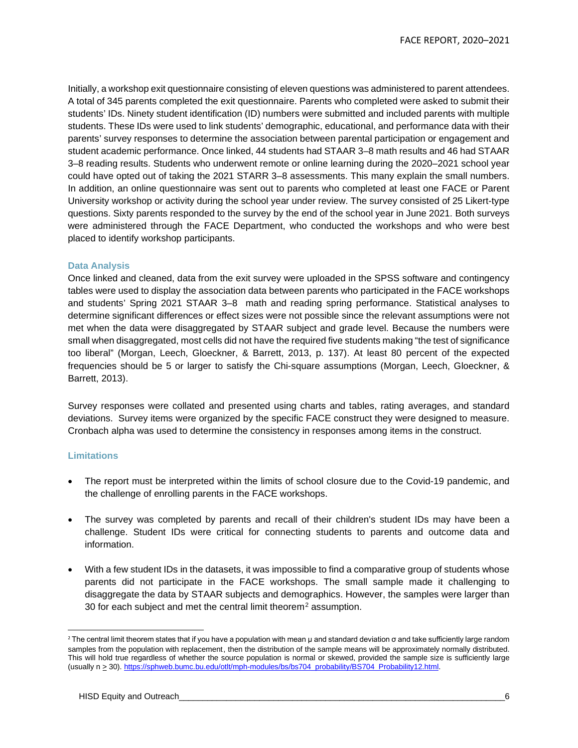Initially, a workshop exit questionnaire consisting of eleven questions was administered to parent attendees. A total of 345 parents completed the exit questionnaire. Parents who completed were asked to submit their students' IDs. Ninety student identification (ID) numbers were submitted and included parents with multiple students. These IDs were used to link students' demographic, educational, and performance data with their parents' survey responses to determine the association between parental participation or engagement and student academic performance. Once linked, 44 students had STAAR 3–8 math results and 46 had STAAR 3–8 reading results. Students who underwent remote or online learning during the 2020–2021 school year could have opted out of taking the 2021 STARR 3–8 assessments. This many explain the small numbers. In addition, an online questionnaire was sent out to parents who completed at least one FACE or Parent University workshop or activity during the school year under review. The survey consisted of 25 Likert-type questions. Sixty parents responded to the survey by the end of the school year in June 2021. Both surveys were administered through the FACE Department, who conducted the workshops and who were best placed to identify workshop participants.

#### **Data Analysis**

Once linked and cleaned, data from the exit survey were uploaded in the SPSS software and contingency tables were used to display the association data between parents who participated in the FACE workshops and students' Spring 2021 STAAR 3–8 math and reading spring performance. Statistical analyses to determine significant differences or effect sizes were not possible since the relevant assumptions were not met when the data were disaggregated by STAAR subject and grade level. Because the numbers were small when disaggregated, most cells did not have the required five students making "the test of significance too liberal" (Morgan, Leech, Gloeckner, & Barrett, 2013, p. 137). At least 80 percent of the expected frequencies should be 5 or larger to satisfy the Chi-square assumptions (Morgan, Leech, Gloeckner, & Barrett, 2013).

Survey responses were collated and presented using charts and tables, rating averages, and standard deviations. Survey items were organized by the specific FACE construct they were designed to measure. Cronbach alpha was used to determine the consistency in responses among items in the construct.

#### **Limitations**

- The report must be interpreted within the limits of school closure due to the Covid-19 pandemic, and the challenge of enrolling parents in the FACE workshops.
- The survey was completed by parents and recall of their children's student IDs may have been a challenge. Student IDs were critical for connecting students to parents and outcome data and information.
- With a few student IDs in the datasets, it was impossible to find a comparative group of students whose parents did not participate in the FACE workshops. The small sample made it challenging to disaggregate the data by STAAR subjects and demographics. However, the samples were larger than 30 for each subject and met the central limit theorem<sup>[2](#page-9-0)</sup> assumption.

<span id="page-9-0"></span><sup>2</sup> The central limit theorem states that if you have a population with mean μ and standard deviation σ and take sufficiently large random samples from the population with replacement, then the distribution of the sample means will be approximately normally distributed. This will hold true regardless of whether the source population is normal or skewed, provided the sample size is sufficiently large (usually n > 30). [https://sphweb.bumc.bu.edu/otlt/mph-modules/bs/bs704\\_probability/BS704\\_Probability12.html.](https://sphweb.bumc.bu.edu/otlt/mph-modules/bs/bs704_probability/BS704_Probability12.html)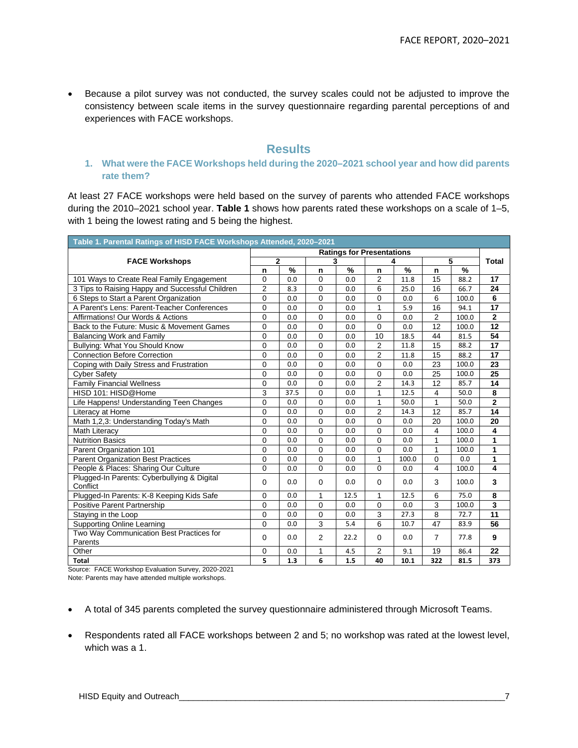• Because a pilot survey was not conducted, the survey scales could not be adjusted to improve the consistency between scale items in the survey questionnaire regarding parental perceptions of and experiences with FACE workshops.

#### **Results**

#### **1. What were the FACE Workshops held during the 2020–2021 school year and how did parents rate them?**

At least 27 FACE workshops were held based on the survey of parents who attended FACE workshops during the 2010–2021 school year. **Table 1** shows how parents rated these workshops on a scale of 1–5, with 1 being the lowest rating and 5 being the highest.

| Table 1. Parental Ratings of HISD FACE Workshops Attended, 2020-2021            |                     |      |                |      |                |       |                |       |                         |  |  |
|---------------------------------------------------------------------------------|---------------------|------|----------------|------|----------------|-------|----------------|-------|-------------------------|--|--|
| <b>Ratings for Presentations</b>                                                |                     |      |                |      |                |       |                |       |                         |  |  |
| <b>FACE Workshops</b>                                                           | $\overline{2}$      |      | 3              |      |                |       | 5              |       | <b>Total</b>            |  |  |
|                                                                                 | n                   | $\%$ | n              | %    | n              | $\%$  | n              | %     |                         |  |  |
| 101 Ways to Create Real Family Engagement                                       | $\Omega$            | 0.0  | $\Omega$       | 0.0  | 2              | 11.8  | 15             | 88.2  | 17                      |  |  |
| 3 Tips to Raising Happy and Successful Children                                 | $\overline{2}$      | 8.3  | $\mathbf 0$    | 0.0  | 6              | 25.0  | 16             | 66.7  | 24                      |  |  |
| 6 Steps to Start a Parent Organization                                          | $\overline{0}$      | 0.0  | $\mathbf 0$    | 0.0  | $\mathbf 0$    | 0.0   | 6              | 100.0 | 6                       |  |  |
| A Parent's Lens: Parent-Teacher Conferences                                     | $\overline{0}$      | 0.0  | $\mathbf 0$    | 0.0  | $\mathbf{1}$   | 5.9   | 16             | 94.1  | 17                      |  |  |
| Affirmations! Our Words & Actions                                               | $\Omega$            | 0.0  | $\mathbf 0$    | 0.0  | $\Omega$       | 0.0   | $\overline{2}$ | 100.0 | $\overline{2}$          |  |  |
| Back to the Future: Music & Movement Games                                      | 0                   | 0.0  | $\mathbf 0$    | 0.0  | $\mathbf 0$    | 0.0   | 12             | 100.0 | 12                      |  |  |
| <b>Balancing Work and Family</b>                                                | $\overline{0}$      | 0.0  | $\Omega$       | 0.0  | 10             | 18.5  | 44             | 81.5  | 54                      |  |  |
| Bullying: What You Should Know                                                  | $\Omega$            | 0.0  | $\Omega$       | 0.0  | $\overline{2}$ | 11.8  | 15             | 88.2  | 17                      |  |  |
| <b>Connection Before Correction</b>                                             | 0                   | 0.0  | $\mathbf 0$    | 0.0  | $\overline{2}$ | 11.8  | 15             | 88.2  | 17                      |  |  |
| Coping with Daily Stress and Frustration                                        | $\Omega$            | 0.0  | $\Omega$       | 0.0  | $\Omega$       | 0.0   | 23             | 100.0 | 23                      |  |  |
| <b>Cyber Safety</b>                                                             | $\overline{0}$      | 0.0  | $\mathbf 0$    | 0.0  | $\mathbf 0$    | 0.0   | 25             | 100.0 | 25                      |  |  |
| <b>Family Financial Wellness</b>                                                | $\overline{0}$      | 0.0  | $\Omega$       | 0.0  | $\overline{2}$ | 14.3  | 12             | 85.7  | 14                      |  |  |
| HISD 101: HISD@Home                                                             | 3                   | 37.5 | $\Omega$       | 0.0  | 1              | 12.5  | $\overline{4}$ | 50.0  | 8                       |  |  |
| Life Happens! Understanding Teen Changes                                        | $\Omega$            | 0.0  | $\Omega$       | 0.0  | 1              | 50.0  | 1              | 50.0  | $\overline{2}$          |  |  |
| Literacy at Home                                                                | $\Omega$            | 0.0  | $\Omega$       | 0.0  | $\overline{2}$ | 14.3  | 12             | 85.7  | 14                      |  |  |
| Math 1,2,3: Understanding Today's Math                                          | 0                   | 0.0  | 0              | 0.0  | $\mathbf 0$    | 0.0   | 20             | 100.0 | 20                      |  |  |
| Math Literacy                                                                   | $\Omega$            | 0.0  | $\mathbf 0$    | 0.0  | $\Omega$       | 0.0   | $\overline{4}$ | 100.0 | 4                       |  |  |
| <b>Nutrition Basics</b>                                                         | $\overline{0}$      | 0.0  | $\mathbf 0$    | 0.0  | $\mathbf 0$    | 0.0   | $\mathbf{1}$   | 100.0 | 1                       |  |  |
| Parent Organization 101                                                         | $\Omega$            | 0.0  | $\mathbf{0}$   | 0.0  | $\Omega$       | 0.0   | 1              | 100.0 | 1                       |  |  |
| <b>Parent Organization Best Practices</b>                                       | 0                   | 0.0  | $\mathbf 0$    | 0.0  | 1              | 100.0 | 0              | 0.0   | 1                       |  |  |
| People & Places: Sharing Our Culture                                            | $\Omega$            | 0.0  | $\Omega$       | 0.0  | $\Omega$       | 0.0   | 4              | 100.0 | $\overline{\mathbf{4}}$ |  |  |
| Plugged-In Parents: Cyberbullying & Digital<br>Conflict                         | $\mathbf 0$         | 0.0  | $\mathbf 0$    | 0.0  | $\Omega$       | 0.0   | 3              | 100.0 | 3                       |  |  |
|                                                                                 |                     | 0.0  | 1              | 12.5 | 1              | 12.5  |                | 75.0  |                         |  |  |
| Plugged-In Parents: K-8 Keeping Kids Safe<br><b>Positive Parent Partnership</b> | 0<br>$\overline{0}$ | 0.0  | $\mathbf 0$    | 0.0  | $\mathbf 0$    | 0.0   | 6<br>3         | 100.0 | 8<br>3                  |  |  |
|                                                                                 | 0                   | 0.0  | $\mathbf 0$    | 0.0  | 3              | 27.3  | 8              | 72.7  | 11                      |  |  |
| Staying in the Loop                                                             |                     |      |                |      |                |       |                |       |                         |  |  |
| <b>Supporting Online Learning</b>                                               | $\Omega$            | 0.0  | 3              | 5.4  | 6              | 10.7  | 47             | 83.9  | 56                      |  |  |
| Two Way Communication Best Practices for<br>Parents                             | $\Omega$            | 0.0  | $\overline{2}$ | 22.2 | $\Omega$       | 0.0   | $\overline{7}$ | 77.8  | 9                       |  |  |
| Other                                                                           | 0                   | 0.0  | $\mathbf{1}$   | 4.5  | 2              | 9.1   | 19             | 86.4  | 22                      |  |  |
| <b>Total</b><br>$\blacksquare$                                                  | 5                   | 1.3  | 6              | 1.5  | 40             | 10.1  | 322            | 81.5  | 373                     |  |  |

Source: FACE Workshop Evaluation Survey, 2020-2021

Note: Parents may have attended multiple workshops.

- A total of 345 parents completed the survey questionnaire administered through Microsoft Teams.
- Respondents rated all FACE workshops between 2 and 5; no workshop was rated at the lowest level, which was a 1.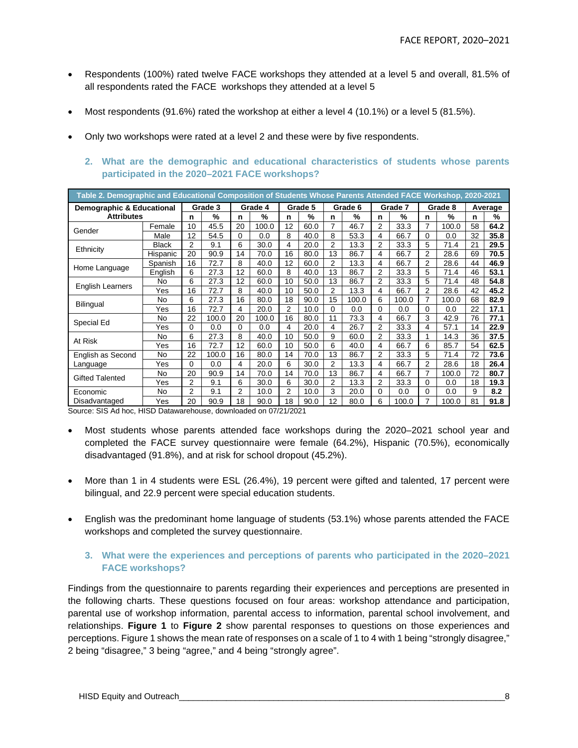- Respondents (100%) rated twelve FACE workshops they attended at a level 5 and overall, 81.5% of all respondents rated the FACE workshops they attended at a level 5
- Most respondents (91.6%) rated the workshop at either a level 4 (10.1%) or a level 5 (81.5%).
- Only two workshops were rated at a level 2 and these were by five respondents.
	- **2. What are the demographic and educational characteristics of students whose parents participated in the 2020–2021 FACE workshops?**

| Table 2. Demographic and Educational Composition of Students Whose Parents Attended FACE Workshop, 2020-2021 |                                                       |          |         |          |         |                 |         |    |         |                |         |                |         |    |         |
|--------------------------------------------------------------------------------------------------------------|-------------------------------------------------------|----------|---------|----------|---------|-----------------|---------|----|---------|----------------|---------|----------------|---------|----|---------|
| Demographic & Educational                                                                                    |                                                       |          | Grade 3 |          | Grade 4 |                 | Grade 5 |    | Grade 6 |                | Grade 7 |                | Grade 8 |    | Average |
| <b>Attributes</b>                                                                                            |                                                       | n        | %       | n        | %       | n               | %       | n  | %       | n              | %       | n              | %       | n  | %       |
| Gender                                                                                                       | Female                                                | 10       | 45.5    | 20       | 100.0   | 12              | 60.0    | 7  | 46.7    | 2              | 33.3    | 7              | 100.0   | 58 | 64.2    |
|                                                                                                              | Male                                                  | 12       | 54.5    | 0        | $0.0\,$ | 8               | 40.0    | 8  | 53.3    | 4              | 66.7    | $\Omega$       | 0.0     | 32 | 35.8    |
| Ethnicity                                                                                                    | <b>Black</b>                                          | 2        | 9.1     | 6        | 30.0    | 4               | 20.0    | 2  | 13.3    | 2              | 33.3    | 5              | 71.4    | 21 | 29.5    |
|                                                                                                              | Hispanic                                              | 20       | 90.9    | 14       | 70.0    | 16              | 80.0    | 13 | 86.7    | 4              | 66.7    | $\overline{2}$ | 28.6    | 69 | 70.5    |
| Home Language                                                                                                | Spanish                                               | 16       | 72.7    | 8        | 40.0    | 12              | 60.0    | 2  | 13.3    | 4              | 66.7    | $\overline{2}$ | 28.6    | 44 | 46.9    |
|                                                                                                              | English                                               | 6        | 27.3    | 12       | 60.0    | 8               | 40.0    | 13 | 86.7    | 2              | 33.3    | 5              | 71.4    | 46 | 53.1    |
| <b>English Learners</b>                                                                                      | No                                                    | 6        | 27.3    | 12       | 60.0    | 10              | 50.0    | 13 | 86.7    | 2              | 33.3    | 5              | 71.4    | 48 | 54.8    |
|                                                                                                              | Yes                                                   | 16       | 72.7    | 8        | 40.0    | 10              | 50.0    | 2  | 13.3    | 4              | 66.7    | 2              | 28.6    | 42 | 45.2    |
| Bilingual                                                                                                    | No                                                    | 6        | 27.3    | 16       | 80.0    | 18              | 90.0    | 15 | 100.0   | 6              | 100.0   | 7              | 100.0   | 68 | 82.9    |
|                                                                                                              | Yes                                                   | 16       | 72.7    | 4        | 20.0    | 2               | 10.0    | 0  | 0.0     | 0              | 0.0     | $\Omega$       | 0.0     | 22 | 17.1    |
| Special Ed                                                                                                   | No                                                    | 22       | 100.0   | 20       | 100.0   | 16              | 80.0    | 11 | 73.3    | 4              | 66.7    | 3              | 42.9    | 76 | 77.1    |
|                                                                                                              | Yes                                                   | $\Omega$ | 0.0     | $\Omega$ | 0.0     | 4               | 20.0    | 4  | 26.7    | 2              | 33.3    | 4              | 57.1    | 14 | 22.9    |
| At Risk                                                                                                      | No                                                    | 6        | 27.3    | 8        | 40.0    | 10              | 50.0    | 9  | 60.0    | 2              | 33.3    |                | 14.3    | 36 | 37.5    |
|                                                                                                              | Yes                                                   | 16       | 72.7    | 12       | 60.0    | 10              | 50.0    | 6  | 40.0    | 4              | 66.7    | 6              | 85.7    | 54 | 62.5    |
| English as Second                                                                                            | No                                                    | 22       | 100.0   | 16       | 80.0    | 14              | 70.0    | 13 | 86.7    | $\overline{2}$ | 33.3    | 5              | 71.4    | 72 | 73.6    |
| Language                                                                                                     | Yes                                                   | 0        | 0.0     | 4        | 20.0    | 6               | 30.0    | 2  | 13.3    | 4              | 66.7    | 2              | 28.6    | 18 | 26.4    |
| <b>Gifted Talented</b>                                                                                       | No                                                    | 20       | 90.9    | 14       | 70.0    | 14              | 70.0    | 13 | 86.7    | 4              | 66.7    | 7              | 100.0   | 72 | 80.7    |
|                                                                                                              | Yes                                                   | 2        | 9.1     | 6        | 30.0    | 6               | 30.0    | 2  | 13.3    | 2              | 33.3    | 0              | 0.0     | 18 | 19.3    |
| Economic                                                                                                     | No                                                    | 2        | 9.1     | 2        | 10.0    | $\overline{2}$  | 10.0    | 3  | 20.0    | 0              | 0.0     | 0              | 0.0     | 9  | 8.2     |
| Disadvantaged<br>$0.00 \pm 0.00$                                                                             | Yes<br><b>LUOD Determinations of deputies dealers</b> | 20       | 90.9    | 18       | 90.0    | 18<br>27/24/222 | 90.0    | 12 | 80.0    | 6              | 100.0   |                | 100.0   | 81 | 91.8    |

Source: SIS Ad hoc, HISD Datawarehouse, downloaded on 07/21/2021

- Most students whose parents attended face workshops during the 2020–2021 school year and completed the FACE survey questionnaire were female (64.2%), Hispanic (70.5%), economically disadvantaged (91.8%), and at risk for school dropout (45.2%).
- More than 1 in 4 students were ESL (26.4%), 19 percent were gifted and talented, 17 percent were bilingual, and 22.9 percent were special education students.
- English was the predominant home language of students (53.1%) whose parents attended the FACE workshops and completed the survey questionnaire.

#### **3. What were the experiences and perceptions of parents who participated in the 2020–2021 FACE workshops?**

Findings from the questionnaire to parents regarding their experiences and perceptions are presented in the following charts. These questions focused on four areas: workshop attendance and participation, parental use of workshop information, parental access to information, parental school involvement, and relationships. **Figure 1** to **Figure 2** show parental responses to questions on those experiences and perceptions. Figure 1 shows the mean rate of responses on a scale of 1 to 4 with 1 being "strongly disagree," 2 being "disagree," 3 being "agree," and 4 being "strongly agree".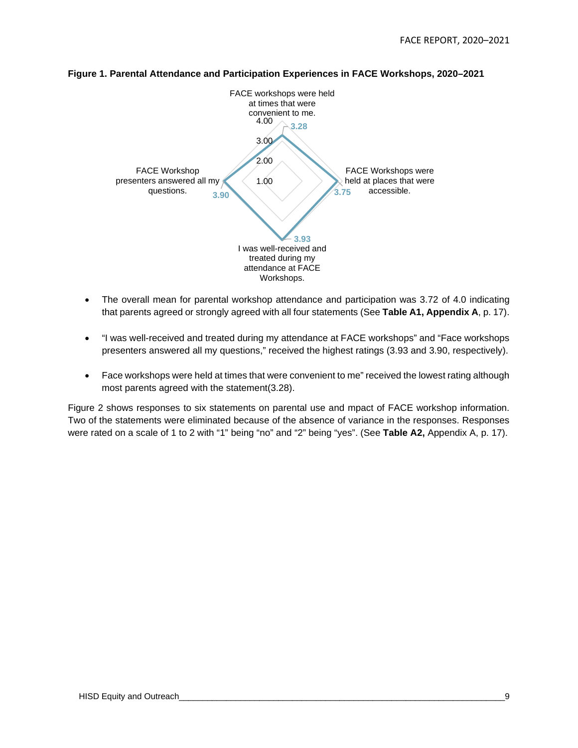

#### **Figure 1. Parental Attendance and Participation Experiences in FACE Workshops, 2020–2021**

- The overall mean for parental workshop attendance and participation was 3.72 of 4.0 indicating that parents agreed or strongly agreed with all four statements (See **Table A1, Appendix A**, p. 17).
- "I was well-received and treated during my attendance at FACE workshops" and "Face workshops presenters answered all my questions," received the highest ratings (3.93 and 3.90, respectively).
- Face workshops were held at times that were convenient to me" received the lowest rating although most parents agreed with the statement(3.28).

Figure 2 shows responses to six statements on parental use and mpact of FACE workshop information. Two of the statements were eliminated because of the absence of variance in the responses. Responses were rated on a scale of 1 to 2 with "1" being "no" and "2" being "yes". (See **Table A2,** Appendix A, p. 17).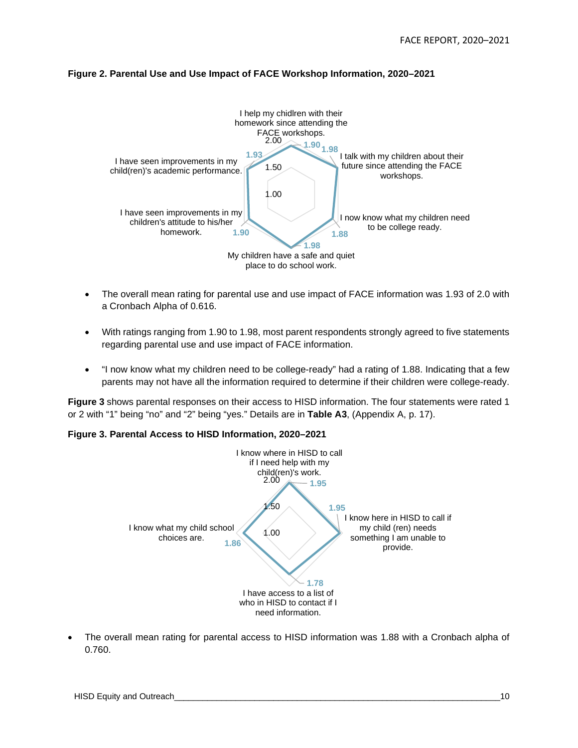#### **Figure 2. Parental Use and Use Impact of FACE Workshop Information, 2020–2021**



- The overall mean rating for parental use and use impact of FACE information was 1.93 of 2.0 with a Cronbach Alpha of 0.616.
- With ratings ranging from 1.90 to 1.98, most parent respondents strongly agreed to five statements regarding parental use and use impact of FACE information.
- "I now know what my children need to be college-ready" had a rating of 1.88. Indicating that a few parents may not have all the information required to determine if their children were college-ready.

**Figure 3** shows parental responses on their access to HISD information. The four statements were rated 1 or 2 with "1" being "no" and "2" being "yes." Details are in **Table A3**, (Appendix A, p. 17).

#### **Figure 3. Parental Access to HISD Information, 2020–2021**



The overall mean rating for parental access to HISD information was 1.88 with a Cronbach alpha of 0.760.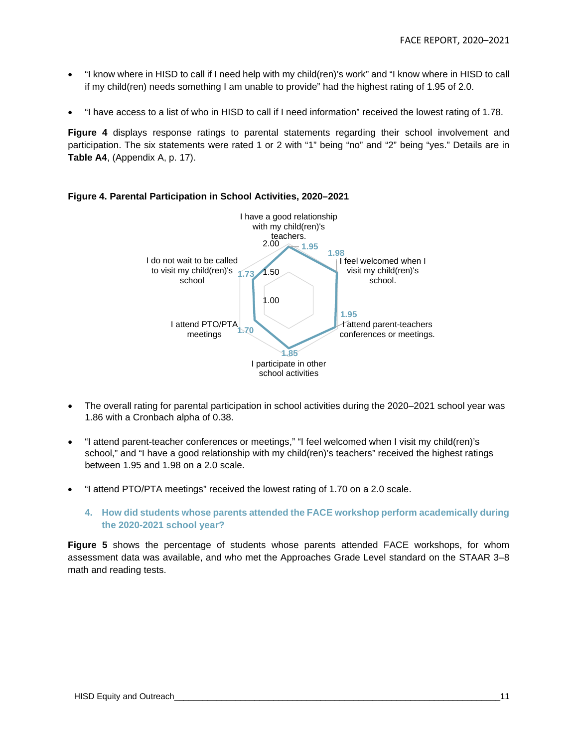- "I know where in HISD to call if I need help with my child(ren)'s work" and "I know where in HISD to call if my child(ren) needs something I am unable to provide" had the highest rating of 1.95 of 2.0.
- "I have access to a list of who in HISD to call if I need information" received the lowest rating of 1.78.

**Figure 4** displays response ratings to parental statements regarding their school involvement and participation. The six statements were rated 1 or 2 with "1" being "no" and "2" being "yes." Details are in **Table A4**, (Appendix A, p. 17).



#### **Figure 4. Parental Participation in School Activities, 2020–2021**

- The overall rating for parental participation in school activities during the 2020–2021 school year was 1.86 with a Cronbach alpha of 0.38.
- "I attend parent-teacher conferences or meetings," "I feel welcomed when I visit my child(ren)'s school," and "I have a good relationship with my child(ren)'s teachers" received the highest ratings between 1.95 and 1.98 on a 2.0 scale.
- "I attend PTO/PTA meetings" received the lowest rating of 1.70 on a 2.0 scale.
	- **4. How did students whose parents attended the FACE workshop perform academically during the 2020-2021 school year?**

**Figure 5** shows the percentage of students whose parents attended FACE workshops, for whom assessment data was available, and who met the Approaches Grade Level standard on the STAAR 3–8 math and reading tests.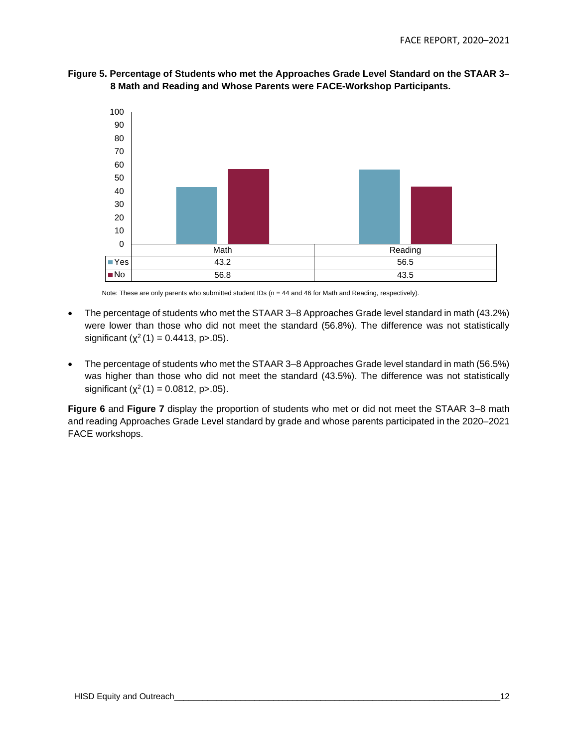



Note: These are only parents who submitted student IDs (n = 44 and 46 for Math and Reading, respectively).

- The percentage of students who met the STAAR 3–8 Approaches Grade level standard in math (43.2%) were lower than those who did not meet the standard (56.8%). The difference was not statistically significant ( $\chi^2$  (1) = 0.4413, p > 05).
- The percentage of students who met the STAAR 3–8 Approaches Grade level standard in math (56.5%) was higher than those who did not meet the standard (43.5%). The difference was not statistically significant  $(\chi^2(1) = 0.0812, p > 0.05)$ .

**Figure 6** and **Figure 7** display the proportion of students who met or did not meet the STAAR 3–8 math and reading Approaches Grade Level standard by grade and whose parents participated in the 2020–2021 FACE workshops.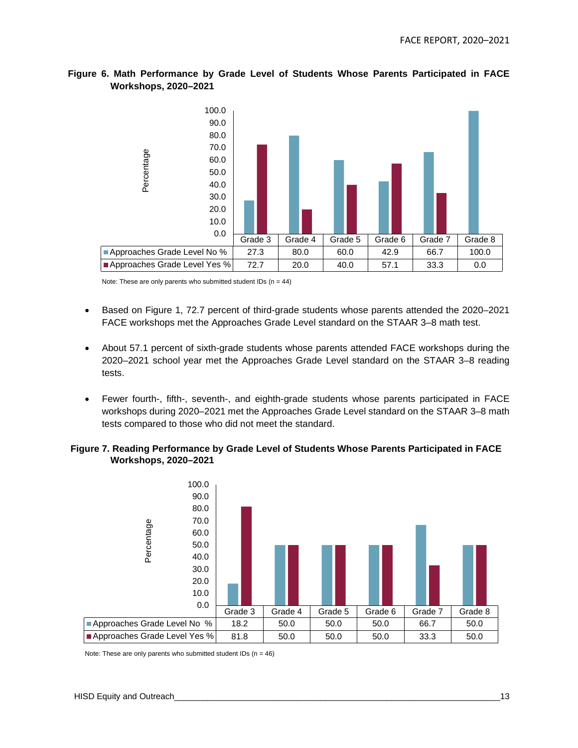

#### **Figure 6. Math Performance by Grade Level of Students Whose Parents Participated in FACE Workshops, 2020–2021**

Note: These are only parents who submitted student IDs  $(n = 44)$ 

- Based on Figure 1, 72.7 percent of third-grade students whose parents attended the 2020–2021 FACE workshops met the Approaches Grade Level standard on the STAAR 3–8 math test.
- About 57.1 percent of sixth-grade students whose parents attended FACE workshops during the 2020–2021 school year met the Approaches Grade Level standard on the STAAR 3–8 reading tests.
- Fewer fourth-, fifth-, seventh-, and eighth-grade students whose parents participated in FACE workshops during 2020–2021 met the Approaches Grade Level standard on the STAAR 3–8 math tests compared to those who did not meet the standard.

#### **Figure 7. Reading Performance by Grade Level of Students Whose Parents Participated in FACE Workshops, 2020–2021**



Note: These are only parents who submitted student IDs  $(n = 46)$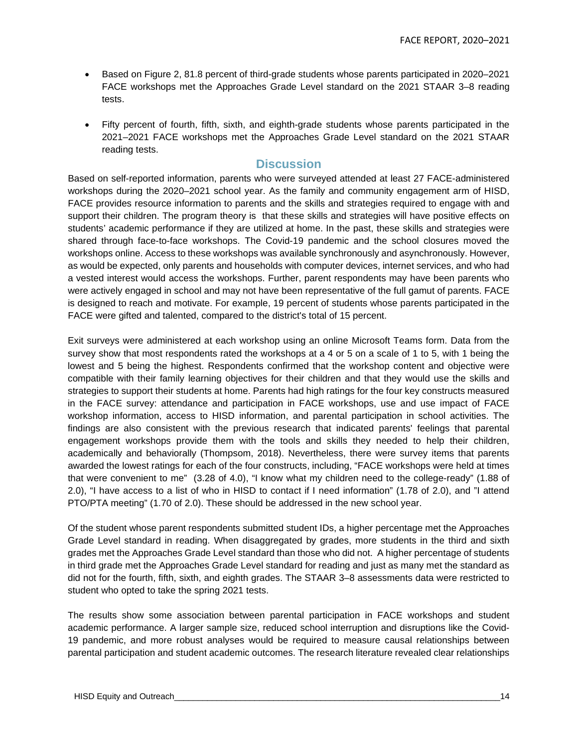- Based on Figure 2, 81.8 percent of third-grade students whose parents participated in 2020–2021 FACE workshops met the Approaches Grade Level standard on the 2021 STAAR 3–8 reading tests.
- Fifty percent of fourth, fifth, sixth, and eighth-grade students whose parents participated in the 2021–2021 FACE workshops met the Approaches Grade Level standard on the 2021 STAAR reading tests.

#### **Discussion**

Based on self-reported information, parents who were surveyed attended at least 27 FACE-administered workshops during the 2020–2021 school year. As the family and community engagement arm of HISD, FACE provides resource information to parents and the skills and strategies required to engage with and support their children. The program theory is that these skills and strategies will have positive effects on students' academic performance if they are utilized at home. In the past, these skills and strategies were shared through face-to-face workshops. The Covid-19 pandemic and the school closures moved the workshops online. Access to these workshops was available synchronously and asynchronously. However, as would be expected, only parents and households with computer devices, internet services, and who had a vested interest would access the workshops. Further, parent respondents may have been parents who were actively engaged in school and may not have been representative of the full gamut of parents. FACE is designed to reach and motivate. For example, 19 percent of students whose parents participated in the FACE were gifted and talented, compared to the district's total of 15 percent.

Exit surveys were administered at each workshop using an online Microsoft Teams form. Data from the survey show that most respondents rated the workshops at a 4 or 5 on a scale of 1 to 5, with 1 being the lowest and 5 being the highest. Respondents confirmed that the workshop content and objective were compatible with their family learning objectives for their children and that they would use the skills and strategies to support their students at home. Parents had high ratings for the four key constructs measured in the FACE survey: attendance and participation in FACE workshops, use and use impact of FACE workshop information, access to HISD information, and parental participation in school activities. The findings are also consistent with the previous research that indicated parents' feelings that parental engagement workshops provide them with the tools and skills they needed to help their children, academically and behaviorally (Thompsom, 2018). Nevertheless, there were survey items that parents awarded the lowest ratings for each of the four constructs, including, "FACE workshops were held at times that were convenient to me" (3.28 of 4.0), "I know what my children need to the college-ready" (1.88 of 2.0), "I have access to a list of who in HISD to contact if I need information" (1.78 of 2.0), and "I attend PTO/PTA meeting" (1.70 of 2.0). These should be addressed in the new school year.

Of the student whose parent respondents submitted student IDs, a higher percentage met the Approaches Grade Level standard in reading. When disaggregated by grades, more students in the third and sixth grades met the Approaches Grade Level standard than those who did not. A higher percentage of students in third grade met the Approaches Grade Level standard for reading and just as many met the standard as did not for the fourth, fifth, sixth, and eighth grades. The STAAR 3–8 assessments data were restricted to student who opted to take the spring 2021 tests.

The results show some association between parental participation in FACE workshops and student academic performance. A larger sample size, reduced school interruption and disruptions like the Covid-19 pandemic, and more robust analyses would be required to measure causal relationships between parental participation and student academic outcomes. The research literature revealed clear relationships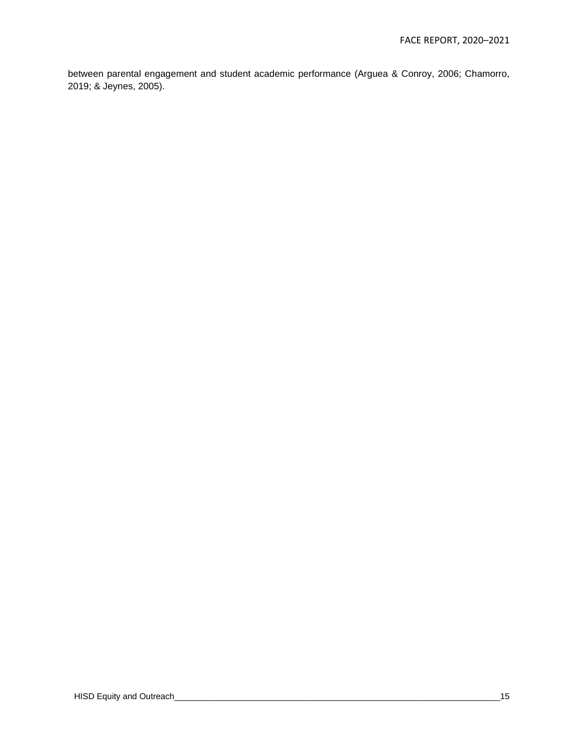between parental engagement and student academic performance (Arguea & Conroy, 2006; Chamorro, 2019; & Jeynes, 2005).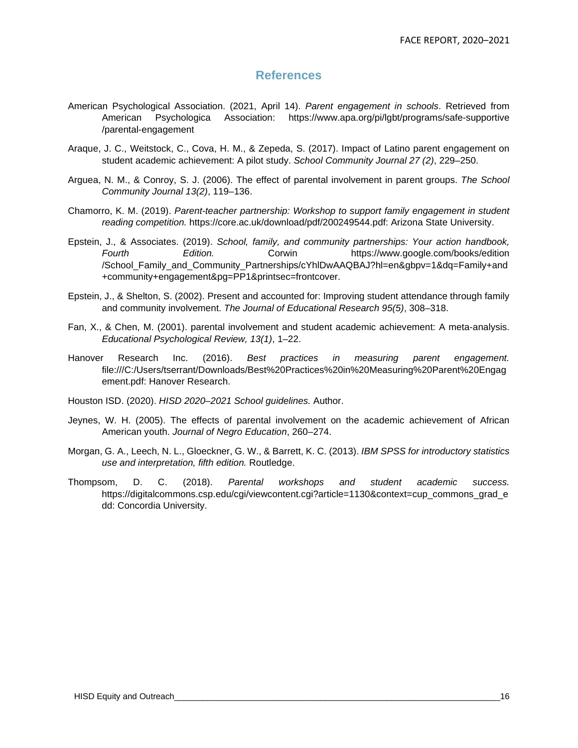#### **References**

- American Psychological Association. (2021, April 14). *Parent engagement in schools*. Retrieved from American Psychologica Association: https://www.apa.org/pi/lgbt/programs/safe-supportive /parental-engagement
- Araque, J. C., Weitstock, C., Cova, H. M., & Zepeda, S. (2017). Impact of Latino parent engagement on student academic achievement: A pilot study. *School Community Journal 27 (2)*, 229–250.
- Arguea, N. M., & Conroy, S. J. (2006). The effect of parental involvement in parent groups. *The School Community Journal 13(2)*, 119–136.
- Chamorro, K. M. (2019). *Parent-teacher partnership: Workshop to support family engagement in student reading competition.* https://core.ac.uk/download/pdf/200249544.pdf: Arizona State University.
- Epstein, J., & Associates. (2019). *School, family, and community partnerships: Your action handbook, Fourth Edition.* Corwin https://www.google.com/books/edition /School\_Family\_and\_Community\_Partnerships/cYhlDwAAQBAJ?hl=en&gbpv=1&dq=Family+and +community+engagement&pg=PP1&printsec=frontcover.
- Epstein, J., & Shelton, S. (2002). Present and accounted for: Improving student attendance through family and community involvement. *The Journal of Educational Research 95(5)*, 308–318.
- Fan, X., & Chen, M. (2001). parental involvement and student academic achievement: A meta-analysis. *Educational Psychological Review, 13(1)*, 1–22.
- Hanover Research Inc. (2016). *Best practices in measuring parent engagement.* file:///C:/Users/tserrant/Downloads/Best%20Practices%20in%20Measuring%20Parent%20Engag ement.pdf: Hanover Research.
- Houston ISD. (2020). *HISD 2020–2021 School guidelines.* Author.
- Jeynes, W. H. (2005). The effects of parental involvement on the academic achievement of African American youth. *Journal of Negro Education*, 260–274.
- Morgan, G. A., Leech, N. L., Gloeckner, G. W., & Barrett, K. C. (2013). *IBM SPSS for introductory statistics use and interpretation, fifth edition.* Routledge.
- Thompsom, D. C. (2018). *Parental workshops and student academic success.* https://digitalcommons.csp.edu/cgi/viewcontent.cgi?article=1130&context=cup\_commons\_grad\_e dd: Concordia University.